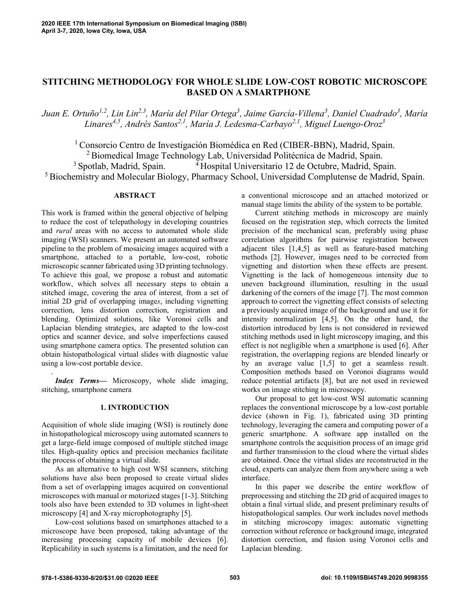# **STITCHING METHODOLOGY FOR WHOLE SLIDE LOW-COST ROBOTIC MICROSCOPE BASED ON A SMARTPHONE**

*Juan E. Ortuño1,2 , Lin Lin2,3 , María del Pilar Ortega<sup>3</sup> , Jaime García-Villena<sup>3</sup> , Daniel Cuadrado<sup>3</sup> , María Linares4,5 , Andrés Santos2,1, María J. Ledesma-Carbayo2,1 , Miguel Luengo-Oroz<sup>3</sup>*

<sup>1</sup> Consorcio Centro de Investigación Biomédica en Red (CIBER-BBN), Madrid, Spain. <sup>2</sup> Biomedical Image Technology Lab, Universidad Politécnica de Madrid, Spain. <sup>3</sup> Spotlab, Madrid, Spain. <sup>4</sup> Hospital Universitario 12 de Octubre, Madrid, Spain. <sup>5</sup> Biochemistry and Molecular Biology, Pharmacy School, Universidad Complutense de Madrid, Spain.

# **ABSTRACT**

This work is framed within the general objective of helping to reduce the cost of telepathology in developing countries and *rural* areas with no access to automated whole slide imaging (WSI) scanners. We present an automated software pipeline to the problem of mosaicing images acquired with a smartphone, attached to a portable, low-cost, robotic microscopic scanner fabricated using 3D printing technology. To achieve this goal, we propose a robust and automatic workflow, which solves all necessary steps to obtain a stitched image, covering the area of interest*,* from a set of initial 2D grid of overlapping image*s*, including vignetting correction, lens distortion correction, registration and blending. Optimized solutions, like Voronoi cells and Laplacian blending strategies, are adapted to the low-cost optics and scanner device, and solve imperfections caused using smartphone camera optics. The presented solution can obtain histopathological virtual slides with diagnostic value using a low-cost portable device.

*Index Terms—* Microscopy, whole slide imaging, stitching, smartphone camera

.

# **1. INTRODUCTION**

Acquisition of whole slide imaging (WSI) is routinely done in histopathological microscopy using automated scanners to get a large-field image composed of multiple stitched image tiles. High-quality optics and precision mechanics facilitate the process of obtaining a virtual slide.

As an alternative to high cost WSI scanners, stitching solutions have also been proposed to create virtual slides from a set of overlapping images acquired on conventional microscopes with manual or motorized stages [1-3]. Stitching tools also have been extended to 3D volumes in light-sheet microscopy [4] and X-ray microphotography [5].

Low-cost solutions based on smartphones attached to a microscope have been proposed, taking advantage of the increasing processing capacity of mobile devices [6]. Replicability in such systems is a limitation, and the need for

a conventional microscope and an attached motorized or manual stage limits the ability of the system to be portable.

Current stitching methods in microscopy are mainly focused on the registration step, which corrects the limited precision of the mechanical scan, preferably using phase correlation algorithms for pairwise registration between adjacent tiles [1,4,5] as well as feature-based matching methods [2]. However, images need to be corrected from vignetting and distortion when these effects are present. Vignetting is the lack of homogeneous intensity due to uneven background illumination, resulting in the usual darkening of the corners of the image [7]. The most common approach to correct the vignetting effect consists of selecting a previously acquired image of the background and use it for intensity normalization [4,5]. On the other hand, the distortion introduced by lens is not considered in reviewed stitching methods used in light microscopy imaging, and this effect is not negligible when a smartphone is used [6]. After registration, the overlapping regions are blended linearly or by an average value [1,5] to get a seamless result. Composition methods based on Voronoi diagrams would reduce potential artifacts [8], but are not used in reviewed works on image stitching in microscopy.

Our proposal to get low-cost WSI automatic scanning replaces the conventional microscope by a low-cost portable device (shown in Fig. 1), fabricated using 3D printing technology, leveraging the camera and computing power of a generic smartphone. A software app installed on the smartphone controls the acquisition process of an image grid and further transmission to the cloud where the virtual slides are obtained. Once the virtual slides are reconstructed in the cloud, experts can analyze them from anywhere using a web interface.

In this paper we describe the entire workflow of preprocessing and stitching the 2D grid of acquired images to obtain a final virtual slide, and present preliminary results of histopathological samples. Our work includes novel methods in stitching microscopy images: automatic vignetting correction without reference or background image, integrated distortion correction, and fusion using Voronoi cells and Laplacian blending.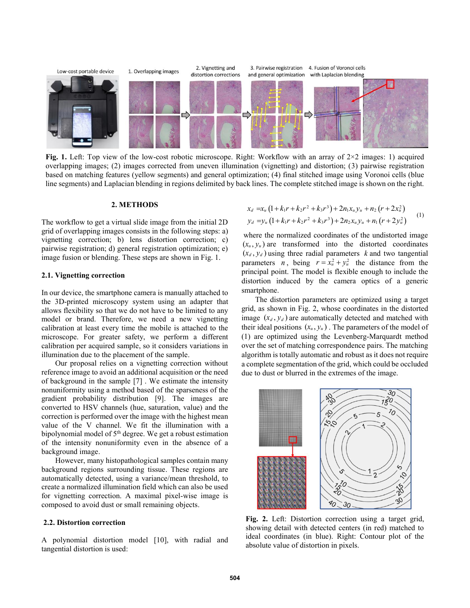

**Fig.** 1. Left: Top view of the low-cost robotic microscope. Right: Workflow with an array of  $2 \times 2$  images: 1) acquired overlapping images; (2) images corrected from uneven illumination (vignetting) and distortion; (3) pairwise registration based on matching features (yellow segments) and general optimization; (4) final stitched image using Voronoi cells (blue line segments) and Laplacian blending in regions delimited by back lines. The complete stitched image is shown on the right.

### **2. METHODS**

The workflow to get a virtual slide image from the initial 2D grid of overlapping images consists in the following steps: a) vignetting correction; b) lens distortion correction; c) pairwise registration; d) general registration optimization; e) image fusion or blending. These steps are shown in Fig. 1.

# **2.1. Vignetting correction**

In our device, the smartphone camera is manually attached to the 3D-printed microscopy system using an adapter that allows flexibility so that we do not have to be limited to any model or brand. Therefore, we need a new vignetting calibration at least every time the mobile is attached to the microscope. For greater safety, we perform a different calibration per acquired sample, so it considers variations in illumination due to the placement of the sample.

Our proposal relies on a vignetting correction without reference image to avoid an additional acquisition or the need of background in the sample [7] . We estimate the intensity nonuniformity using a method based of the sparseness of the gradient probability distribution [9]. The images are converted to HSV channels (hue, saturation, value) and the correction is performed over the image with the highest mean value of the V channel. We fit the illumination with a bipolynomial model of 5<sup>th</sup> degree. We get a robust estimation of the intensity nonuniformity even in the absence of a background image.

However, many histopathological samples contain many background regions surrounding tissue. These regions are automatically detected, using a variance/mean threshold, to create a normalized illumination field which can also be used for vignetting correction. A maximal pixel-wise image is composed to avoid dust or small remaining objects.

### **2.2. Distortion correction**

A polynomial distortion model [10], with radial and tangential distortion is used:

$$
x_d = x_u \left(1 + k_1 r + k_2 r^2 + k_3 r^3\right) + 2n_1 x_u y_u + n_2 \left(r + 2x_u^2\right)
$$
  
\n
$$
y_d = y_u \left(1 + k_1 r + k_2 r^2 + k_3 r^3\right) + 2n_2 x_u y_u + n_1 \left(r + 2y_u^2\right)
$$
 (1)

where the normalized coordinates of the undistorted image  $(x_u, y_u)$  are transformed into the distorted coordinates  $(x_d, y_d)$  using three radial parameters k and two tangential parameters *n*, being  $r = x_u^2 + y_u^2$  the distance from the principal point. The model is flexible enough to include the distortion induced by the camera optics of a generic smartphone.

The distortion parameters are optimized using a target grid, as shown in Fig. 2, whose coordinates in the distorted image  $(x_d, y_d)$  are automatically detected and matched with their ideal positions  $(x_u, y_u)$ . The parameters of the model of (1) are optimized using the Levenberg-Marquardt method over the set of matching correspondence pairs. The matching algorithm is totally automatic and robust as it does not require a complete segmentation of the grid, which could be occluded due to dust or blurred in the extremes of the image.



**Fig. 2.** Left: Distortion correction using a target grid, showing detail with detected centers (in red) matched to ideal coordinates (in blue). Right: Contour plot of the absolute value of distortion in pixels.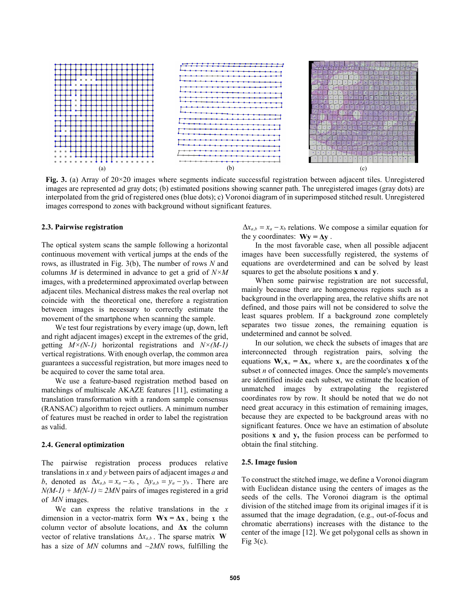

**Fig. 3.** (a) Array of 20×20 images where segments indicate successful registration between adjacent tiles. Unregistered images are represented ad gray dots; (b) estimated positions showing scanner path. The unregistered images (gray dots) are interpolated from the grid of registered ones (blue dots); c) Voronoi diagram of in superimposed stitched result. Unregistered images correspond to zones with background without significant features.

# **2.3. Pairwise registration**

The optical system scans the sample following a horizontal continuous movement with vertical jumps at the ends of the rows, as illustrated in Fig. 3(b), The number of rows *N* and columns *M* is determined in advance to get a grid of *N×M* images, with a predetermined approximated overlap between adjacent tiles. Mechanical distress makes the real overlap not coincide with the theoretical one, therefore a registration between images is necessary to correctly estimate the movement of the smartphone when scanning the sample.

We test four registrations by every image (up, down, left and right adjacent images) except in the extremes of the grid, getting *M×(N-1)* horizontal registrations and *N×(M-1)* vertical registrations. With enough overlap, the common area guarantees a successful registration, but more images need to be acquired to cover the same total area.

We use a feature-based registration method based on matchings of multiscale AKAZE features [11], estimating a translation transformation with a random sample consensus (RANSAC) algorithm to reject outliers. A minimum number of features must be reached in order to label the registration as valid.

#### **2.4. General optimization**

The pairwise registration process produces relative translations in *x* and *y* between pairs of adjacent images *a* and b, denoted as  $\Delta x_{a,b} = x_a - x_b$ ,  $\Delta y_{a,b} = y_a - y_b$ . There are  $N(M-1) + M(N-1) \approx 2MN$  pairs of images registered in a grid of *MN* images.

We can express the relative translations in the *x* dimension in a vector-matrix form  $Wx = \Delta x$ , being x the column vector of absolute locations, and **Δx** the column vector of relative translations  $\Delta x_{a,b}$ . The sparse matrix **W** has a size of  $MN$  columns and  $\sim 2MN$  rows, fulfilling the

 $\Delta x_{a,b} = x_a - x_b$  relations. We compose a similar equation for the y coordinates:  $Wy = \Delta y$ .

In the most favorable case, when all possible adjacent images have been successfully registered, the systems of equations are overdetermined and can be solved by least squares to get the absolute positions **x** and **y**.

When some pairwise registration are not successful, mainly because there are homogeneous regions such as a background in the overlapping area, the relative shifts are not defined, and those pairs will not be considered to solve the least squares problem. If a background zone completely separates two tissue zones, the remaining equation is undetermined and cannot be solved.

In our solution, we check the subsets of images that are interconnected through registration pairs, solving the equations  $W_n \mathbf{x}_n = \Delta \mathbf{x}_n$  where  $\mathbf{x}_n$  are the coordinates **x** of the subset *n* of connected images. Once the sample's movements are identified inside each subset, we estimate the location of unmatched images by extrapolating the registered coordinates row by row. It should be noted that we do not need great accuracy in this estimation of remaining images, because they are expected to be background areas with no significant features. Once we have an estimation of absolute positions **x** and **y,** the fusion process can be performed to obtain the final stitching.

# **2.5. Image fusion**

To construct the stitched image, we define a Voronoi diagram with Euclidean distance using the centers of images as the seeds of the cells. The Voronoi diagram is the optimal division of the stitched image from its original images if it is assumed that the image degradation, (e.g., out-of-focus and chromatic aberrations) increases with the distance to the center of the image [12]. We get polygonal cells as shown in Fig  $3(c)$ .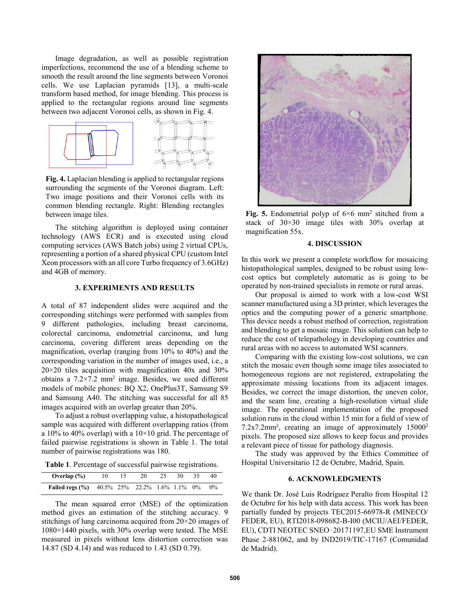Image degradation, as well as possible registration imperfections, recommend the use of a blending scheme to smooth the result around the line segments between Voronoi cells. We use Laplacian pyramids [13], a multi-scale transform based method, for image blending. This process is applied to the rectangular regions around line segments between two adjacent Voronoi cells, as shown in Fig. 4.



**Fig. 4.** Laplacian blending is applied to rectangular regions surrounding the segments of the Voronoi diagram. Left: Two image positions and their Voronoi cells with its common blending rectangle. Right: Blending rectangles between image tiles.

The stitching algorithm is deployed using container technology (AWS ECR) and is executed using cloud computing services (AWS Batch jobs) using 2 virtual CPUs, representing a portion of a shared physical CPU (custom Intel Xeon processors with an all core Turbo frequency of 3.6GHz) and 4GB of memory.

# **3. EXPERIMENTS AND RESULTS**

A total of 87 independent slides were acquired and the corresponding stitchings were performed with samples from 9 different pathologies, including breast carcinoma, colorectal carcinoma, endometrial carcinoma, and lung carcinoma, covering different areas depending on the magnification, overlap (ranging from 10% to 40%) and the corresponding variation in the number of images used, i.e., a  $20 \times 20$  tiles acquisition with magnification  $40x$  and  $30\%$ obtains a  $7.2 \times 7.2$  mm<sup>2</sup> image. Besides, we used different models of mobile phones: BQ X2, OnePlus3T, Samsung S9 and Samsung A40. The stitching was successful for all 85 images acquired with an overlap greater than 20%.

To adjust a robust overlapping value, a histopathological sample was acquired with different overlapping ratios (from a 10% to 40% overlap) with a  $10\times10$  grid. The percentage of failed pairwise registrations is shown in Table 1. The total number of pairwise registrations was 180.

**Table 1**. Percentage of successful pairwise registrations.

| Overlap $(\% )$                                     |  | 20 | 25 | 30 | -35. | 40    |
|-----------------------------------------------------|--|----|----|----|------|-------|
| <b>Failed regs (%)</b> 40.5% 25% 22.2% 1.6% 1.1% 0% |  |    |    |    |      | $0\%$ |

The mean squared error (MSE) of the optimization method gives an estimation of the stitching accuracy. 9 stitchings of lung carcinoma acquired from 20×20 images of 1080×1440 pixels, with 30% overlap were tested. The MSE measured in pixels without lens distortion correction was 14.87 (SD 4.14) and was reduced to 1.43 (SD 0.79).



**Fig.** 5. Endometrial polyp of  $6 \times 6$  mm<sup>2</sup> stitched from a stack of 30×30 image tiles with 30% overlap at magnification 55x.

### **4. DISCUSSION**

In this work we present a complete workflow for mosaicing histopathological samples, designed to be robust using lowcost optics but completely automatic as is going to be operated by non-trained specialists in remote or rural areas.

Our proposal is aimed to work with a low-cost WSI scanner manufactured using a 3D printer, which leverages the optics and the computing power of a generic smartphone. This device needs a robust method of correction, registration and blending to get a mosaic image. This solution can help to reduce the cost of telepathology in developing countries and rural areas with no access to automated WSI scanners.

Comparing with the existing low-cost solutions, we can stitch the mosaic even though some image tiles associated to homogeneous regions are not registered, extrapolating the approximate missing locations from its adjacent images. Besides, we correct the image distortion, the uneven color, and the seam line, creating a high-resolution virtual slide image. The operational implementation of the proposed solution runs in the cloud within 15 min for a field of view of 7.2x7.2mm², creating an image of approximately 15000<sup>2</sup> pixels. The proposed size allows to keep focus and provides a relevant piece of tissue for pathology diagnosis.

The study was approved by the Ethics Committee of Hospital Universitario 12 de Octubre, Madrid, Spain.

# **6. ACKNOWLEDGMENTS**

We thank Dr. José Luis Rodríguez Peralto from Hospital 12 de Octubre for his help with data access. This work has been partially funded by projects TEC2015-66978-R (MINECO/ FEDER, EU), RTI2018-098682-B-I00 (MCIU/AEI/FEDER, EU), CDTI NEOTEC SNEO‑20171197,EU SME Instrument Phase 2-881062, and by IND2019/TIC-17167 (Comunidad de Madrid).